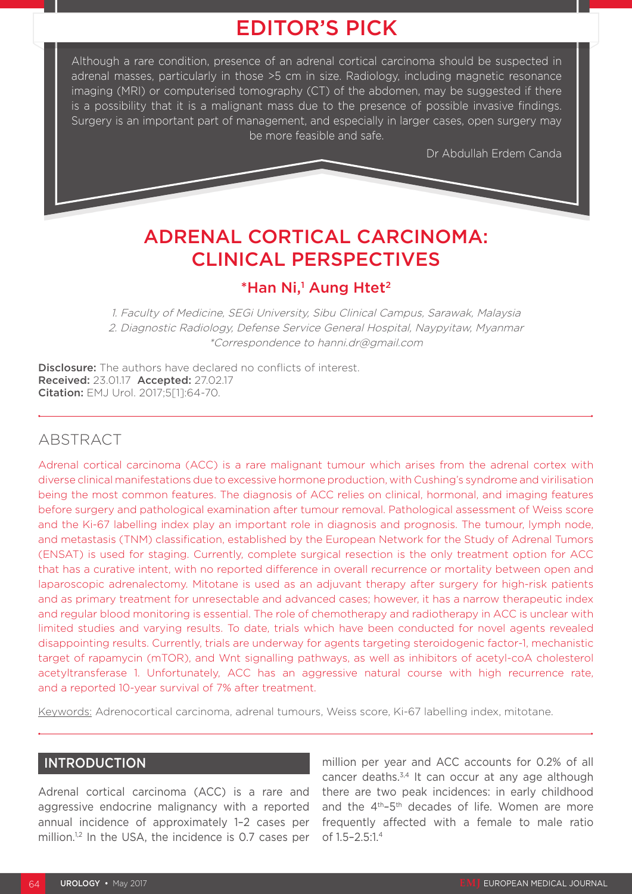# EDITOR'S PICK

Although a rare condition, presence of an adrenal cortical carcinoma should be suspected in adrenal masses, particularly in those >5 cm in size. Radiology, including magnetic resonance imaging (MRI) or computerised tomography (CT) of the abdomen, may be suggested if there is a possibility that it is a malignant mass due to the presence of possible invasive findings. Surgery is an important part of management, and especially in larger cases, open surgery may be more feasible and safe.

Dr Abdullah Erdem Canda

# ADRENAL CORTICAL CARCINOMA: CLINICAL PERSPECTIVES

# \*Han Ni,<sup>1</sup> Aung Htet<sup>2</sup>

1. Faculty of Medicine, SEGi University, Sibu Clinical Campus, Sarawak, Malaysia 2. Diagnostic Radiology, Defense Service General Hospital, Naypyitaw, Myanmar \*Correspondence to hanni.dr@gmail.com

**Disclosure:** The authors have declared no conflicts of interest. Received: 23.01.17 Accepted: 27.02.17 Citation: EMJ Urol. 2017;5[1]:64-70.

# ABSTRACT

Adrenal cortical carcinoma (ACC) is a rare malignant tumour which arises from the adrenal cortex with diverse clinical manifestations due to excessive hormone production, with Cushing's syndrome and virilisation being the most common features. The diagnosis of ACC relies on clinical, hormonal, and imaging features before surgery and pathological examination after tumour removal. Pathological assessment of Weiss score and the Ki-67 labelling index play an important role in diagnosis and prognosis. The tumour, lymph node, and metastasis (TNM) classification, established by the European Network for the Study of Adrenal Tumors (ENSAT) is used for staging. Currently, complete surgical resection is the only treatment option for ACC that has a curative intent, with no reported difference in overall recurrence or mortality between open and laparoscopic adrenalectomy. Mitotane is used as an adjuvant therapy after surgery for high-risk patients and as primary treatment for unresectable and advanced cases; however, it has a narrow therapeutic index and regular blood monitoring is essential. The role of chemotherapy and radiotherapy in ACC is unclear with limited studies and varying results. To date, trials which have been conducted for novel agents revealed disappointing results. Currently, trials are underway for agents targeting steroidogenic factor-1, mechanistic target of rapamycin (mTOR), and Wnt signalling pathways, as well as inhibitors of acetyl-coA cholesterol acetyltransferase 1. Unfortunately, ACC has an aggressive natural course with high recurrence rate, and a reported 10-year survival of 7% after treatment.

Keywords: Adrenocortical carcinoma, adrenal tumours, Weiss score, Ki-67 labelling index, mitotane.

# INTRODUCTION

Adrenal cortical carcinoma (ACC) is a rare and aggressive endocrine malignancy with a reported annual incidence of approximately 1–2 cases per million.<sup>1,2</sup> In the USA, the incidence is 0.7 cases per

million per year and ACC accounts for 0.2% of all cancer deaths. $3,4$  It can occur at any age although there are two peak incidences: in early childhood and the 4<sup>th</sup>-5<sup>th</sup> decades of life. Women are more frequently affected with a female to male ratio of 1.5–2.5:1.4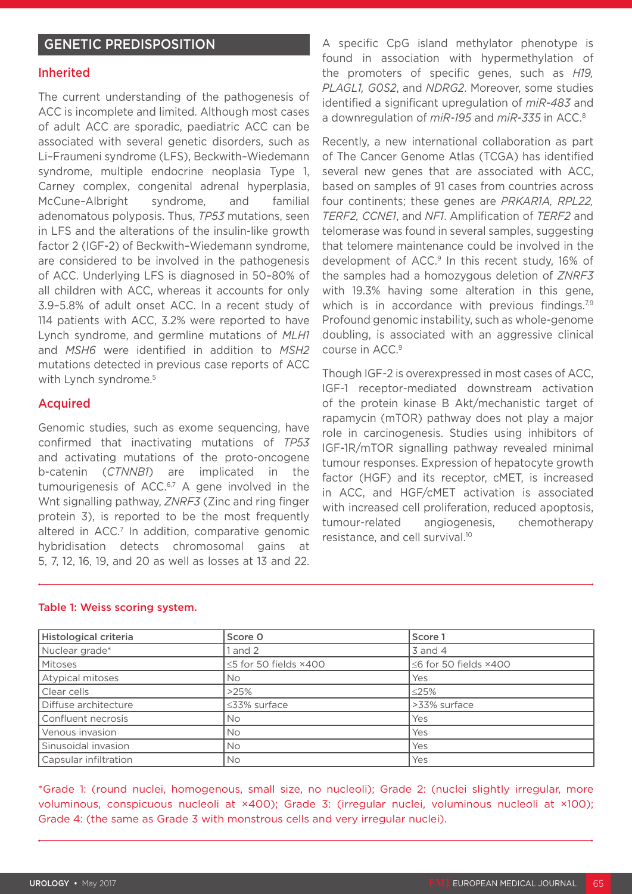# GENETIC PREDISPOSITION

#### Inherited

The current understanding of the pathogenesis of ACC is incomplete and limited. Although most cases of adult ACC are sporadic, paediatric ACC can be associated with several genetic disorders, such as Li–Fraumeni syndrome (LFS), Beckwith–Wiedemann syndrome, multiple endocrine neoplasia Type 1, Carney complex, congenital adrenal hyperplasia, McCune–Albright syndrome, and familial adenomatous polyposis. Thus, *TP53* mutations, seen in LFS and the alterations of the insulin-like growth factor 2 (IGF-2) of Beckwith–Wiedemann syndrome, are considered to be involved in the pathogenesis of ACC. Underlying LFS is diagnosed in 50–80% of all children with ACC, whereas it accounts for only 3.9–5.8% of adult onset ACC. In a recent study of 114 patients with ACC, 3.2% were reported to have Lynch syndrome, and germline mutations of *MLH1* and *MSH6* were identified in addition to *MSH2* mutations detected in previous case reports of ACC with Lynch syndrome.<sup>5</sup>

#### Acquired

Genomic studies, such as exome sequencing, have confirmed that inactivating mutations of *TP53* and activating mutations of the proto-oncogene b-catenin (*CTNNB1*) are implicated in the tumourigenesis of ACC.<sup>6,7</sup> A gene involved in the Wnt signalling pathway, *ZNRF3* (Zinc and ring finger protein 3), is reported to be the most frequently altered in ACC.<sup>7</sup> In addition, comparative genomic hybridisation detects chromosomal gains at 5, 7, 12, 16, 19, and 20 as well as losses at 13 and 22. A specific CpG island methylator phenotype is found in association with hypermethylation of the promoters of specific genes, such as *H19, PLAGL1, G0S2*, and *NDRG2*. Moreover, some studies identified a significant upregulation of *miR-483* and a downregulation of *miR-195* and *miR-335* in ACC.8

Recently, a new international collaboration as part of The Cancer Genome Atlas (TCGA) has identified several new genes that are associated with ACC, based on samples of 91 cases from countries across four continents; these genes are *PRKAR1A, RPL22, TERF2, CCNE1*, and *NF1*. Amplification of *TERF2* and telomerase was found in several samples, suggesting that telomere maintenance could be involved in the development of ACC.<sup>9</sup> In this recent study, 16% of the samples had a homozygous deletion of *ZNRF3* with 19.3% having some alteration in this gene, which is in accordance with previous findings. $79$ Profound genomic instability, such as whole-genome doubling, is associated with an aggressive clinical course in ACC.9

Though IGF-2 is overexpressed in most cases of ACC, IGF-1 receptor-mediated downstream activation of the protein kinase B Akt/mechanistic target of rapamycin (mTOR) pathway does not play a major role in carcinogenesis. Studies using inhibitors of IGF-1R/mTOR signalling pathway revealed minimal tumour responses. Expression of hepatocyte growth factor (HGF) and its receptor, cMET, is increased in ACC, and HGF/cMET activation is associated with increased cell proliferation, reduced apoptosis, tumour-related angiogenesis, chemotherapy resistance, and cell survival.10

| Histological criteria | Score 0               | Score 1                             |
|-----------------------|-----------------------|-------------------------------------|
| Nuclear grade*        | l and 2               | $3$ and $4$                         |
| <b>Mitoses</b>        | ≤5 for 50 fields ×400 | $\leq$ 6 for 50 fields $\times$ 400 |
| Atypical mitoses      | No.                   | Yes                                 |
| Clear cells           | >25%                  | $\leq$ 25%                          |
| Diffuse architecture  | $\leq$ 33% surface    | >33% surface                        |
| Confluent necrosis    | No.                   | Yes                                 |
| Venous invasion       | <b>No</b>             | Yes                                 |
| Sinusoidal invasion   | <b>No</b>             | Yes                                 |
| Capsular infiltration | No.                   | Yes                                 |

#### Table 1: Weiss scoring system.

\*Grade 1: (round nuclei, homogenous, small size, no nucleoli); Grade 2: (nuclei slightly irregular, more voluminous, conspicuous nucleoli at ×400); Grade 3: (irregular nuclei, voluminous nucleoli at ×100); Grade 4: (the same as Grade 3 with monstrous cells and very irregular nuclei).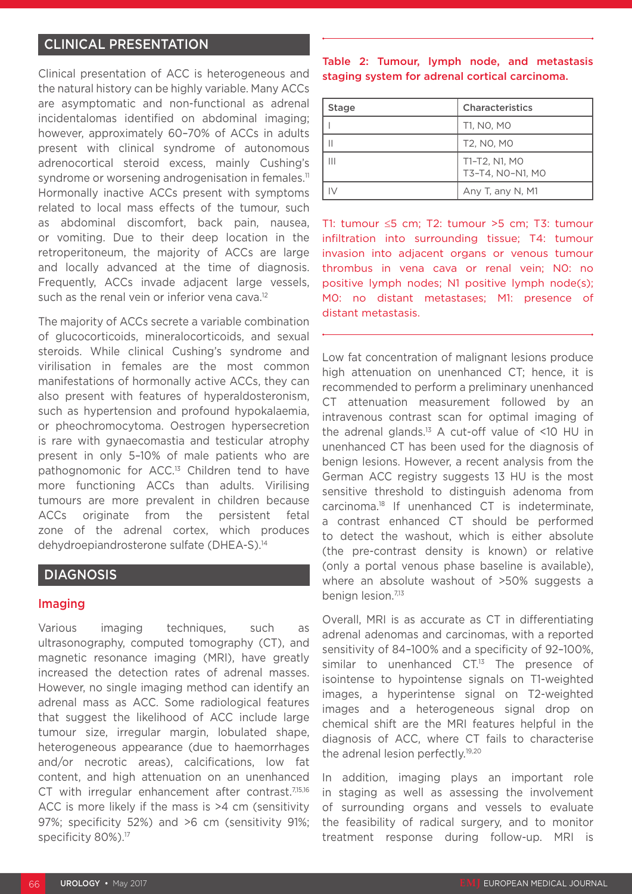# CLINICAL PRESENTATION

Clinical presentation of ACC is heterogeneous and the natural history can be highly variable. Many ACCs are asymptomatic and non-functional as adrenal incidentalomas identified on abdominal imaging; however, approximately 60–70% of ACCs in adults present with clinical syndrome of autonomous adrenocortical steroid excess, mainly Cushing's syndrome or worsening androgenisation in females.<sup>11</sup> Hormonally inactive ACCs present with symptoms related to local mass effects of the tumour, such as abdominal discomfort, back pain, nausea, or vomiting. Due to their deep location in the retroperitoneum, the majority of ACCs are large and locally advanced at the time of diagnosis. Frequently, ACCs invade adjacent large vessels, such as the renal vein or inferior vena cava.<sup>12</sup>

The majority of ACCs secrete a variable combination of glucocorticoids, mineralocorticoids, and sexual steroids. While clinical Cushing's syndrome and virilisation in females are the most common manifestations of hormonally active ACCs, they can also present with features of hyperaldosteronism, such as hypertension and profound hypokalaemia, or pheochromocytoma. Oestrogen hypersecretion is rare with gynaecomastia and testicular atrophy present in only 5–10% of male patients who are pathognomonic for ACC.<sup>13</sup> Children tend to have more functioning ACCs than adults. Virilising tumours are more prevalent in children because ACCs originate from the persistent fetal zone of the adrenal cortex, which produces dehydroepiandrosterone sulfate (DHEA-S).14

# **DIAGNOSIS**

#### Imaging

Various imaging techniques, such as ultrasonography, computed tomography (CT), and magnetic resonance imaging (MRI), have greatly increased the detection rates of adrenal masses. However, no single imaging method can identify an adrenal mass as ACC. Some radiological features that suggest the likelihood of ACC include large tumour size, irregular margin, lobulated shape, heterogeneous appearance (due to haemorrhages and/or necrotic areas), calcifications, low fat content, and high attenuation on an unenhanced CT with irregular enhancement after contrast.<sup>7,15,16</sup> ACC is more likely if the mass is >4 cm (sensitivity 97%; specificity 52%) and >6 cm (sensitivity 91%; specificity 80%).<sup>17</sup>

Table 2: Tumour, lymph node, and metastasis staging system for adrenal cortical carcinoma.

| <b>Stage</b> | <b>Characteristics</b>            |
|--------------|-----------------------------------|
|              | T1, NO, MO                        |
|              | T2, NO, MO                        |
| Ш            | T1-T2, N1, MO<br>T3-T4, NO-N1, MO |
|              | Any T, any N, M1                  |

T1: tumour ≤5 cm; T2: tumour >5 cm; T3: tumour infiltration into surrounding tissue; T4: tumour invasion into adjacent organs or venous tumour thrombus in vena cava or renal vein; N0: no positive lymph nodes; N1 positive lymph node(s); M0: no distant metastases; M1: presence of distant metastasis.

Low fat concentration of malignant lesions produce high attenuation on unenhanced CT; hence, it is recommended to perform a preliminary unenhanced CT attenuation measurement followed by an intravenous contrast scan for optimal imaging of the adrenal glands.<sup>13</sup> A cut-off value of  $\leq 10$  HU in unenhanced CT has been used for the diagnosis of benign lesions. However, a recent analysis from the German ACC registry suggests 13 HU is the most sensitive threshold to distinguish adenoma from carcinoma.18 If unenhanced CT is indeterminate, a contrast enhanced CT should be performed to detect the washout, which is either absolute (the pre-contrast density is known) or relative (only a portal venous phase baseline is available), where an absolute washout of >50% suggests a benign lesion.<sup>7,13</sup>

Overall, MRI is as accurate as CT in differentiating adrenal adenomas and carcinomas, with a reported sensitivity of 84–100% and a specificity of 92–100%, similar to unenhanced  $CT^{13}$  The presence of isointense to hypointense signals on T1-weighted images, a hyperintense signal on T2-weighted images and a heterogeneous signal drop on chemical shift are the MRI features helpful in the diagnosis of ACC, where CT fails to characterise the adrenal lesion perfectly.19,20

In addition, imaging plays an important role in staging as well as assessing the involvement of surrounding organs and vessels to evaluate the feasibility of radical surgery, and to monitor treatment response during follow-up. MRI is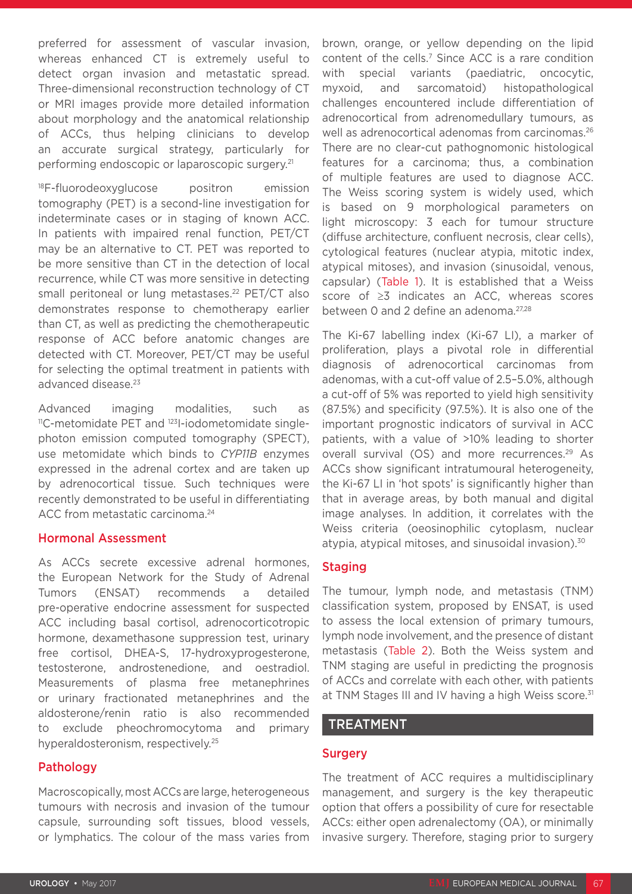preferred for assessment of vascular invasion, whereas enhanced CT is extremely useful to detect organ invasion and metastatic spread. Three-dimensional reconstruction technology of CT or MRI images provide more detailed information about morphology and the anatomical relationship of ACCs, thus helping clinicians to develop an accurate surgical strategy, particularly for performing endoscopic or laparoscopic surgery.21

<sup>18</sup>F-fluorodeoxyglucose positron emission tomography (PET) is a second-line investigation for indeterminate cases or in staging of known ACC. In patients with impaired renal function, PET/CT may be an alternative to CT. PET was reported to be more sensitive than CT in the detection of local recurrence, while CT was more sensitive in detecting small peritoneal or lung metastases.<sup>22</sup> PET/CT also demonstrates response to chemotherapy earlier than CT, as well as predicting the chemotherapeutic response of ACC before anatomic changes are detected with CT. Moreover, PET/CT may be useful for selecting the optimal treatment in patients with advanced disease.<sup>23</sup>

Advanced imaging modalities, such as <sup>11</sup>C-metomidate PET and <sup>123</sup>I-jodometomidate singlephoton emission computed tomography (SPECT), use metomidate which binds to *CYP11B* enzymes expressed in the adrenal cortex and are taken up by adrenocortical tissue. Such techniques were recently demonstrated to be useful in differentiating ACC from metastatic carcinoma.<sup>24</sup>

#### Hormonal Assessment

As ACCs secrete excessive adrenal hormones, the European Network for the Study of Adrenal Tumors (ENSAT) recommends a detailed pre-operative endocrine assessment for suspected ACC including basal cortisol, adrenocorticotropic hormone, dexamethasone suppression test, urinary free cortisol, DHEA-S, 17-hydroxyprogesterone, testosterone, androstenedione, and oestradiol. Measurements of plasma free metanephrines or urinary fractionated metanephrines and the aldosterone/renin ratio is also recommended to exclude pheochromocytoma and primary hyperaldosteronism, respectively.25

## Pathology

Macroscopically, most ACCs are large, heterogeneous tumours with necrosis and invasion of the tumour capsule, surrounding soft tissues, blood vessels, or lymphatics. The colour of the mass varies from brown, orange, or yellow depending on the lipid content of the cells.<sup>7</sup> Since ACC is a rare condition with special variants (paediatric, oncocytic, myxoid, and sarcomatoid) histopathological challenges encountered include differentiation of adrenocortical from adrenomedullary tumours, as well as adrenocortical adenomas from carcinomas.<sup>26</sup> There are no clear-cut pathognomonic histological features for a carcinoma; thus, a combination of multiple features are used to diagnose ACC. The Weiss scoring system is widely used, which is based on 9 morphological parameters on light microscopy: 3 each for tumour structure (diffuse architecture, confluent necrosis, clear cells), cytological features (nuclear atypia, mitotic index, atypical mitoses), and invasion (sinusoidal, venous, capsular) (Table 1). It is established that a Weiss score of ≥3 indicates an ACC, whereas scores between 0 and 2 define an adenoma.<sup>27,28</sup>

The Ki-67 labelling index (Ki-67 LI), a marker of proliferation, plays a pivotal role in differential diagnosis of adrenocortical carcinomas from adenomas, with a cut-off value of 2.5–5.0%, although a cut-off of 5% was reported to yield high sensitivity (87.5%) and specificity (97.5%). It is also one of the important prognostic indicators of survival in ACC patients, with a value of >10% leading to shorter overall survival (OS) and more recurrences.<sup>29</sup> As ACCs show significant intratumoural heterogeneity, the Ki-67 LI in 'hot spots' is significantly higher than that in average areas, by both manual and digital image analyses. In addition, it correlates with the Weiss criteria (oeosinophilic cytoplasm, nuclear atypia, atypical mitoses, and sinusoidal invasion).<sup>30</sup>

## Staging

The tumour, lymph node, and metastasis (TNM) classification system, proposed by ENSAT, is used to assess the local extension of primary tumours, lymph node involvement, and the presence of distant metastasis (Table 2). Both the Weiss system and TNM staging are useful in predicting the prognosis of ACCs and correlate with each other, with patients at TNM Stages III and IV having a high Weiss score.<sup>31</sup>

## TREATMENT

## **Surgery**

The treatment of ACC requires a multidisciplinary management, and surgery is the key therapeutic option that offers a possibility of cure for resectable ACCs: either open adrenalectomy (OA), or minimally invasive surgery. Therefore, staging prior to surgery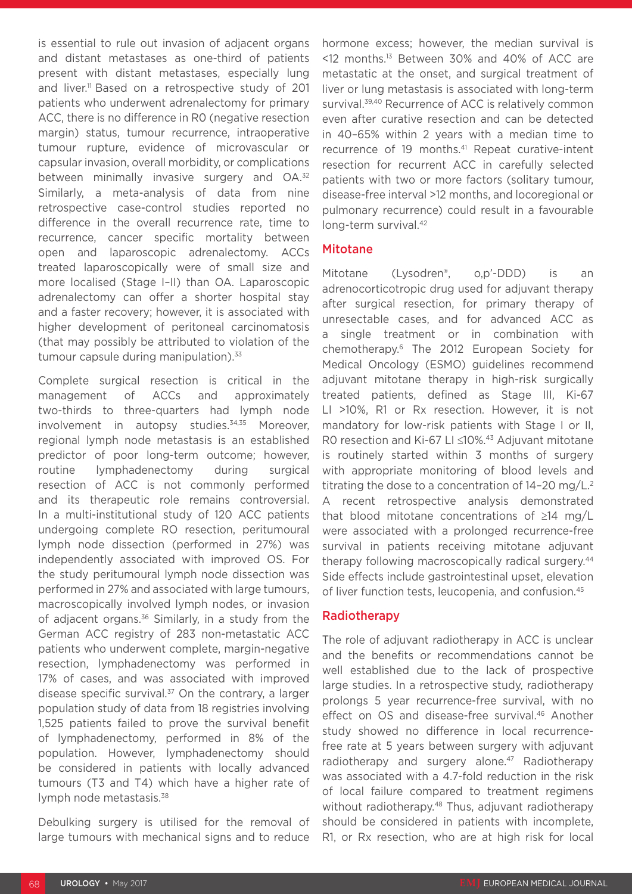is essential to rule out invasion of adjacent organs and distant metastases as one-third of patients present with distant metastases, especially lung and liver.<sup>11</sup> Based on a retrospective study of 201 patients who underwent adrenalectomy for primary ACC, there is no difference in R0 (negative resection margin) status, tumour recurrence, intraoperative tumour rupture, evidence of microvascular or capsular invasion, overall morbidity, or complications between minimally invasive surgery and OA.<sup>32</sup> Similarly, a meta-analysis of data from nine retrospective case-control studies reported no difference in the overall recurrence rate, time to recurrence, cancer specific mortality between open and laparoscopic adrenalectomy. ACCs treated laparoscopically were of small size and more localised (Stage I–II) than OA. Laparoscopic adrenalectomy can offer a shorter hospital stay and a faster recovery; however, it is associated with higher development of peritoneal carcinomatosis (that may possibly be attributed to violation of the tumour capsule during manipulation).<sup>33</sup>

Complete surgical resection is critical in the management of ACCs and approximately two-thirds to three-quarters had lymph node involvement in autopsy studies.<sup>34,35</sup> Moreover. regional lymph node metastasis is an established predictor of poor long-term outcome; however, routine lymphadenectomy during surgical resection of ACC is not commonly performed and its therapeutic role remains controversial. In a multi-institutional study of 120 ACC patients undergoing complete RO resection, peritumoural lymph node dissection (performed in 27%) was independently associated with improved OS. For the study peritumoural lymph node dissection was performed in 27% and associated with large tumours, macroscopically involved lymph nodes, or invasion of adjacent organs.36 Similarly, in a study from the German ACC registry of 283 non-metastatic ACC patients who underwent complete, margin-negative resection, lymphadenectomy was performed in 17% of cases, and was associated with improved disease specific survival. $37$  On the contrary, a larger population study of data from 18 registries involving 1,525 patients failed to prove the survival benefit of lymphadenectomy, performed in 8% of the population. However, lymphadenectomy should be considered in patients with locally advanced tumours (T3 and T4) which have a higher rate of lymph node metastasis.38

Debulking surgery is utilised for the removal of large tumours with mechanical signs and to reduce

hormone excess; however, the median survival is <12 months.13 Between 30% and 40% of ACC are metastatic at the onset, and surgical treatment of liver or lung metastasis is associated with long-term survival.<sup>39,40</sup> Recurrence of ACC is relatively common even after curative resection and can be detected in 40–65% within 2 years with a median time to recurrence of 19 months.<sup>41</sup> Repeat curative-intent resection for recurrent ACC in carefully selected patients with two or more factors (solitary tumour, disease-free interval >12 months, and locoregional or pulmonary recurrence) could result in a favourable long-term survival.<sup>42</sup>

#### Mitotane

Mitotane (Lysodren®, o,p'-DDD) is an adrenocorticotropic drug used for adjuvant therapy after surgical resection, for primary therapy of unresectable cases, and for advanced ACC as a single treatment or in combination with chemotherapy.6 The 2012 European Society for Medical Oncology (ESMO) guidelines recommend adjuvant mitotane therapy in high-risk surgically treated patients, defined as Stage III, Ki-67 LI >10%, R1 or Rx resection. However, it is not mandatory for low-risk patients with Stage I or II, R0 resection and Ki-67 LI ≤10%.<sup>43</sup> Adjuvant mitotane is routinely started within 3 months of surgery with appropriate monitoring of blood levels and titrating the dose to a concentration of  $14-20$  mg/L.<sup>2</sup> A recent retrospective analysis demonstrated that blood mitotane concentrations of ≥14 mg/L were associated with a prolonged recurrence-free survival in patients receiving mitotane adjuvant therapy following macroscopically radical surgery.44 Side effects include gastrointestinal upset, elevation of liver function tests, leucopenia, and confusion.45

#### Radiotherapy

The role of adjuvant radiotherapy in ACC is unclear and the benefits or recommendations cannot be well established due to the lack of prospective large studies. In a retrospective study, radiotherapy prolongs 5 year recurrence-free survival, with no effect on OS and disease-free survival.46 Another study showed no difference in local recurrencefree rate at 5 years between surgery with adjuvant radiotherapy and surgery alone.<sup>47</sup> Radiotherapy was associated with a 4.7-fold reduction in the risk of local failure compared to treatment regimens without radiotherapy.<sup>48</sup> Thus, adjuvant radiotherapy should be considered in patients with incomplete, R1, or Rx resection, who are at high risk for local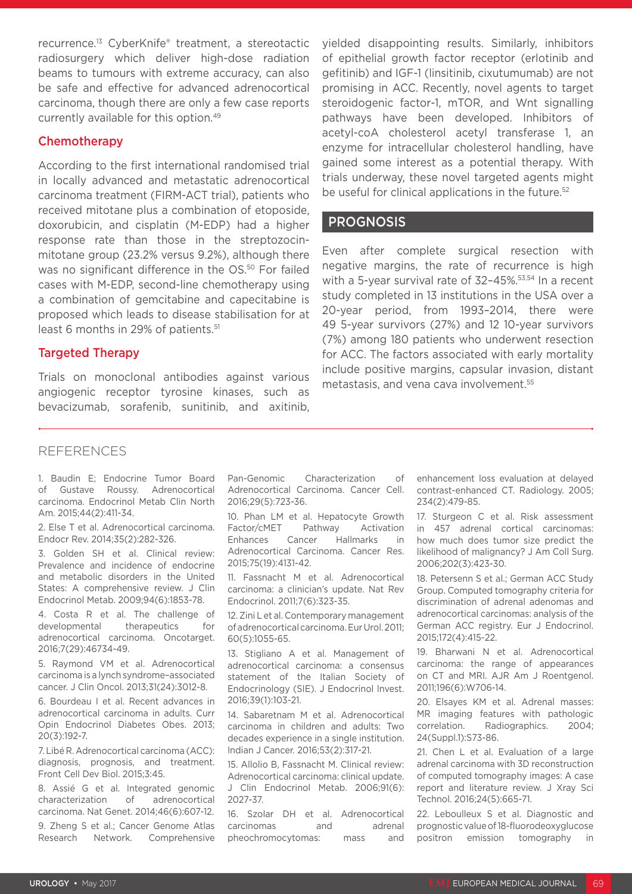recurrence.13 CyberKnife® treatment, a stereotactic radiosurgery which deliver high-dose radiation beams to tumours with extreme accuracy, can also be safe and effective for advanced adrenocortical carcinoma, though there are only a few case reports currently available for this option.49

#### **Chemotherapy**

According to the first international randomised trial in locally advanced and metastatic adrenocortical carcinoma treatment (FIRM-ACT trial), patients who received mitotane plus a combination of etoposide, doxorubicin, and cisplatin (M-EDP) had a higher response rate than those in the streptozocinmitotane group (23.2% versus 9.2%), although there was no significant difference in the OS.<sup>50</sup> For failed cases with M-EDP, second-line chemotherapy using a combination of gemcitabine and capecitabine is proposed which leads to disease stabilisation for at least 6 months in 29% of patients.<sup>51</sup>

#### Targeted Therapy

Trials on monoclonal antibodies against various angiogenic receptor tyrosine kinases, such as bevacizumab, sorafenib, sunitinib, and axitinib, yielded disappointing results. Similarly, inhibitors of epithelial growth factor receptor (erlotinib and gefitinib) and IGF-1 (linsitinib, cixutumumab) are not promising in ACC. Recently, novel agents to target steroidogenic factor-1, mTOR, and Wnt signalling pathways have been developed. Inhibitors of acetyl-coA cholesterol acetyl transferase 1, an enzyme for intracellular cholesterol handling, have gained some interest as a potential therapy. With trials underway, these novel targeted agents might be useful for clinical applications in the future.<sup>52</sup>

#### **PROGNOSIS**

Even after complete surgical resection with negative margins, the rate of recurrence is high with a 5-year survival rate of 32–45%.53,54 In a recent study completed in 13 institutions in the USA over a 20-year period, from 1993–2014, there were 49 5-year survivors (27%) and 12 10-year survivors (7%) among 180 patients who underwent resection for ACC. The factors associated with early mortality include positive margins, capsular invasion, distant metastasis, and vena cava involvement.55

#### **REFERENCES**

1. Baudin E; Endocrine Tumor Board of Gustave Roussy. Adrenocortical carcinoma. Endocrinol Metab Clin North Am. 2015;44(2):411-34.

2. Else T et al. Adrenocortical carcinoma. Endocr Rev. 2014;35(2):282-326.

3. Golden SH et al. Clinical review: Prevalence and incidence of endocrine and metabolic disorders in the United States: A comprehensive review. J Clin Endocrinol Metab. 2009;94(6):1853-78.

4. Costa R et al. The challenge of developmental therapeutics for adrenocortical carcinoma. Oncotarget. 2016;7(29):46734-49.

5. Raymond VM et al. Adrenocortical carcinoma is a lynch syndrome–associated cancer. J Clin Oncol. 2013;31(24):3012-8.

6. Bourdeau I et al. Recent advances in adrenocortical carcinoma in adults. Curr Opin Endocrinol Diabetes Obes. 2013; 20(3):192-7.

7. Libé R. Adrenocortical carcinoma (ACC): diagnosis, prognosis, and treatment. Front Cell Dev Biol. 2015;3:45.

8. Assié G et al. Integrated genomic characterization of adrenocortical carcinoma. Nat Genet. 2014;46(6):607-12.

9. Zheng S et al.; Cancer Genome Atlas Research Network. Comprehensive Pan-Genomic Characterization of Adrenocortical Carcinoma. Cancer Cell. 2016;29(5):723-36.

10. Phan LM et al. Hepatocyte Growth Factor/cMET Pathway Activation Enhances Cancer Hallmarks in Adrenocortical Carcinoma. Cancer Res. 2015;75(19):4131-42.

11. Fassnacht M et al. Adrenocortical carcinoma: a clinician's update. Nat Rev Endocrinol. 2011;7(6):323-35.

12. Zini L et al. Contemporary management of adrenocortical carcinoma. Eur Urol. 2011; 60(5):1055-65.

13. Stigliano A et al. Management of adrenocortical carcinoma: a consensus statement of the Italian Society of Endocrinology (SIE). J Endocrinol Invest. 2016;39(1):103-21.

14. Sabaretnam M et al. Adrenocortical carcinoma in children and adults: Two decades experience in a single institution. Indian J Cancer. 2016;53(2):317-21.

15. Allolio B, Fassnacht M. Clinical review: Adrenocortical carcinoma: clinical update. J Clin Endocrinol Metab. 2006;91(6): 2027-37.

16. Szolar DH et al. Adrenocortical carcinomas and adrenal pheochromocytomas: mass and

enhancement loss evaluation at delayed contrast-enhanced CT. Radiology. 2005; 234(2):479-85.

17. Sturgeon C et al. Risk assessment in 457 adrenal cortical carcinomas: how much does tumor size predict the likelihood of malignancy? J Am Coll Surg. 2006;202(3):423-30.

18. Petersenn S et al.; German ACC Study Group. Computed tomography criteria for discrimination of adrenal adenomas and adrenocortical carcinomas: analysis of the German ACC registry. Eur J Endocrinol. 2015;172(4):415-22.

19. Bharwani N et al. Adrenocortical carcinoma: the range of appearances on CT and MRI. AJR Am J Roentgenol. 2011;196(6):W706-14.

20. Elsayes KM et al. Adrenal masses: MR imaging features with pathologic correlation. Radiographics. 2004; 24(Suppl.1):S73-86.

21. Chen L et al. Evaluation of a large adrenal carcinoma with 3D reconstruction of computed tomography images: A case report and literature review. J Xray Sci Technol. 2016;24(5):665-71.

22. Leboulleux S et al. Diagnostic and prognostic value of 18-fluorodeoxyglucose positron emission tomography in